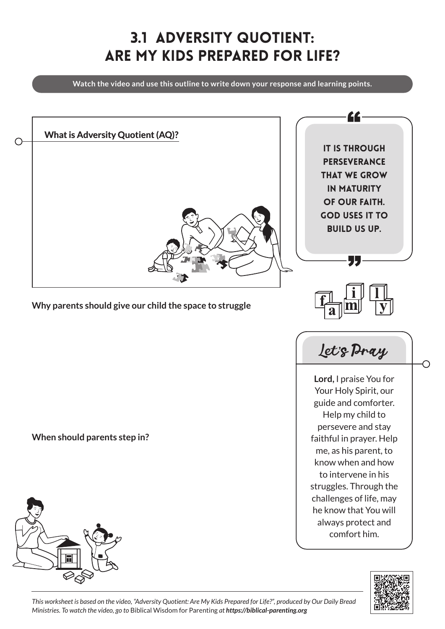## 3.1 Adversity Quotient: Are My Kids Prepared for Life?

**Watch the video and use this outline to write down your response and learning points.**





*This worksheet is based on the video, "Adversity Quotient: Are My Kids Prepared for Life?", produced by Our Daily Bread Ministries. To watch the video, go to* Biblical Wisdom for Parenting *at https://biblical-parenting.org*